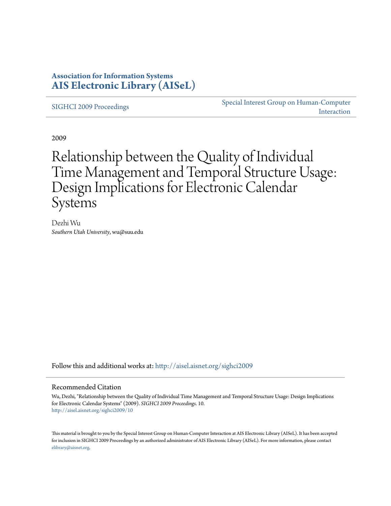## **Association for Information Systems [AIS Electronic Library \(AISeL\)](http://aisel.aisnet.org?utm_source=aisel.aisnet.org%2Fsighci2009%2F10&utm_medium=PDF&utm_campaign=PDFCoverPages)**

[SIGHCI 2009 Proceedings](http://aisel.aisnet.org/sighci2009?utm_source=aisel.aisnet.org%2Fsighci2009%2F10&utm_medium=PDF&utm_campaign=PDFCoverPages)

[Special Interest Group on Human-Computer](http://aisel.aisnet.org/sighci?utm_source=aisel.aisnet.org%2Fsighci2009%2F10&utm_medium=PDF&utm_campaign=PDFCoverPages) [Interaction](http://aisel.aisnet.org/sighci?utm_source=aisel.aisnet.org%2Fsighci2009%2F10&utm_medium=PDF&utm_campaign=PDFCoverPages)

2009

# Relationship between the Quality of Individual Time Management and Temporal Structure Usage: Design Implications for Electronic Calendar Systems

Dezhi Wu *Southern Utah University*, wu@suu.edu

Follow this and additional works at: [http://aisel.aisnet.org/sighci2009](http://aisel.aisnet.org/sighci2009?utm_source=aisel.aisnet.org%2Fsighci2009%2F10&utm_medium=PDF&utm_campaign=PDFCoverPages)

## Recommended Citation

Wu, Dezhi, "Relationship between the Quality of Individual Time Management and Temporal Structure Usage: Design Implications for Electronic Calendar Systems" (2009). *SIGHCI 2009 Proceedings*. 10. [http://aisel.aisnet.org/sighci2009/10](http://aisel.aisnet.org/sighci2009/10?utm_source=aisel.aisnet.org%2Fsighci2009%2F10&utm_medium=PDF&utm_campaign=PDFCoverPages)

This material is brought to you by the Special Interest Group on Human-Computer Interaction at AIS Electronic Library (AISeL). It has been accepted for inclusion in SIGHCI 2009 Proceedings by an authorized administrator of AIS Electronic Library (AISeL). For more information, please contact [elibrary@aisnet.org.](mailto:elibrary@aisnet.org%3E)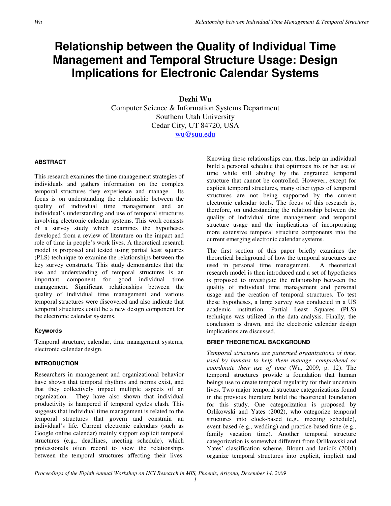## **Relationship between the Quality of Individual Time Management and Temporal Structure Usage: Design Implications for Electronic Calendar Systems**

**Dezhi Wu**  Computer Science & Information Systems Department Southern Utah University Cedar City, UT 84720, USA wu@suu.edu

## **ABSTRACT**

This research examines the time management strategies of individuals and gathers information on the complex temporal structures they experience and manage. Its focus is on understanding the relationship between the quality of individual time management and an individual's understanding and use of temporal structures involving electronic calendar systems. This work consists of a survey study which examines the hypotheses developed from a review of literature on the impact and role of time in people's work lives. A theoretical research model is proposed and tested using partial least squares (PLS) technique to examine the relationships between the key survey constructs. This study demonstrates that the use and understanding of temporal structures is an important component for good individual time management. Significant relationships between the quality of individual time management and various temporal structures were discovered and also indicate that temporal structures could be a new design component for the electronic calendar systems.

### **Keywords**

Temporal structure, calendar, time management systems, electronic calendar design.

## **INTRODUCTION**

Researchers in management and organizational behavior have shown that temporal rhythms and norms exist, and that they collectively impact multiple aspects of an organization. They have also shown that individual productivity is hampered if temporal cycles clash. This suggests that individual time management is related to the temporal structures that govern and constrain an individual's life. Current electronic calendars (such as Google online calendar) mainly support explicit temporal structures (e.g., deadlines, meeting schedule), which professionals often record to view the relationships between the temporal structures affecting their lives.

Knowing these relationships can, thus, help an individual build a personal schedule that optimizes his or her use of time while still abiding by the engrained temporal structure that cannot be controlled. However, except for explicit temporal structures, many other types of temporal structures are not being supported by the current electronic calendar tools. The focus of this research is, therefore, on understanding the relationship between the quality of individual time management and temporal structure usage and the implications of incorporating more extensive temporal structure components into the current emerging electronic calendar systems.

The first section of this paper briefly examines the theoretical background of how the temporal structures are used in personal time management. A theoretical research model is then introduced and a set of hypotheses is proposed to investigate the relationship between the quality of individual time management and personal usage and the creation of temporal structures. To test these hypotheses, a large survey was conducted in a US academic institution. Partial Least Squares (PLS) technique was utilized in the data analysis. Finally, the conclusion is drawn, and the electronic calendar design implications are discussed.

## **BRIEF THEORETICAL BACKGROUND**

*Temporal structures are patterned organizations of time, used by humans to help them manage, comprehend or coordinate their use of time* (Wu, 2009, p. 12). The temporal structures provide a foundation that human beings use to create temporal regularity for their uncertain lives. Two major temporal structure categorizations found in the previous literature build the theoretical foundation for this study. One categorization is proposed by Orlikowski and Yates (2002), who categorize temporal structures into clock-based (e.g., meeting schedule), event-based (e.g., wedding) and practice-based time (e.g., family vacation time). Another temporal structure categorization is somewhat different from Orlikowski and Yates' classification scheme. Blount and Janicik (2001) organize temporal structures into explicit, implicit and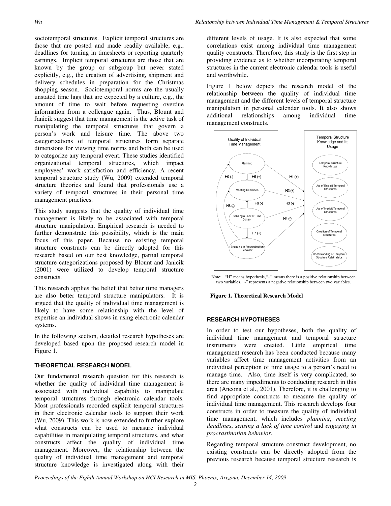sociotemporal structures. Explicit temporal structures are those that are posted and made readily available, e.g., deadlines for turning in timesheets or reporting quarterly earnings. Implicit temporal structures are those that are known by the group or subgroup but never stated explicitly, e.g., the creation of advertising, shipment and delivery schedules in preparation for the Christmas shopping season. Sociotemporal norms are the usually unstated time lags that are expected by a culture, e.g., the amount of time to wait before requesting overdue information from a colleague again. Thus, Blount and Janicik suggest that time management is the active task of manipulating the temporal structures that govern a person's work and leisure time. The above two categorizations of temporal structures form separate dimensions for viewing time norms and both can be used to categorize any temporal event. These studies identified organizational temporal structures, which impact employees' work satisfaction and efficiency. A recent temporal structure study (Wu, 2009) extended temporal structure theories and found that professionals use a variety of temporal structures in their personal time management practices.

This study suggests that the quality of individual time management is likely to be associated with temporal structure manipulation. Empirical research is needed to further demonstrate this possibility, which is the main focus of this paper. Because no existing temporal structure constructs can be directly adopted for this research based on our best knowledge, partial temporal structure categorizations proposed by Blount and Janicik (2001) were utilized to develop temporal structure constructs.

This research applies the belief that better time managers are also better temporal structure manipulators. It is argued that the quality of individual time management is likely to have some relationship with the level of expertise an individual shows in using electronic calendar systems.

In the following section, detailed research hypotheses are developed based upon the proposed research model in Figure 1.

## **THEORETICAL RESEARCH MODEL**

Our fundamental research question for this research is whether the quality of individual time management is associated with individual capability to manipulate temporal structures through electronic calendar tools. Most professionals recorded explicit temporal structures in their electronic calendar tools to support their work (Wu, 2009). This work is now extended to further explore what constructs can be used to measure individual capabilities in manipulating temporal structures, and what constructs affect the quality of individual time management. Moreover, the relationship between the quality of individual time management and temporal structure knowledge is investigated along with their

different levels of usage. It is also expected that some correlations exist among individual time management quality constructs. Therefore, this study is the first step in providing evidence as to whether incorporating temporal structures in the current electronic calendar tools is useful and worthwhile.

Figure 1 below depicts the research model of the relationship between the quality of individual time management and the different levels of temporal structure manipulation in personal calendar tools. It also shows<br>additional relationships among individual time relationships management constructs.



Note: "H" means hypothesis,"+" means there is a positive relationship between two variables, "-" represents a negative relationship between two variables.



#### **RESEARCH HYPOTHESES**

In order to test our hypotheses, both the quality of individual time management and temporal structure instruments were created. Little empirical time management research has been conducted because many variables affect time management activities from an individual perception of time usage to a person's need to manage time. Also, time itself is very complicated, so there are many impediments to conducting research in this area (Ancona et al., 2001). Therefore, it is challenging to find appropriate constructs to measure the quality of individual time management. This research develops four constructs in order to measure the quality of individual time management, which includes *planning*, *meeting deadlines*, *sensing a lack of time control* and *engaging in procrastination behavior*.

Regarding temporal structure construct development, no existing constructs can be directly adopted from the previous research because temporal structure research is

*Proceedings of the Eighth Annual Workshop on HCI Research in MIS, Phoenix, Arizona, December 14, 2009*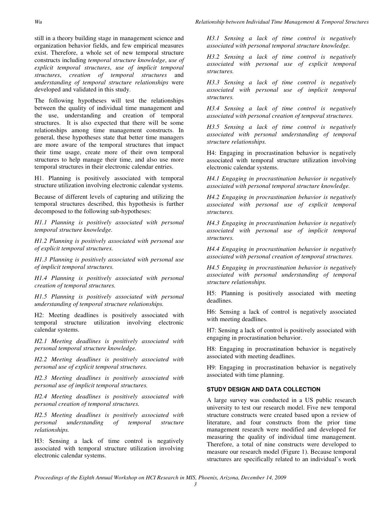still in a theory building stage in management science and organization behavior fields, and few empirical measures exist. Therefore, a whole set of new temporal structure constructs including *temporal structure knowledge*, *use of explicit temporal structures*, *use of implicit temporal structures*, *creation of temporal structures* and *understanding of temporal structure relationships* were developed and validated in this study.

The following hypotheses will test the relationships between the quality of individual time management and the use, understanding and creation of temporal structures. It is also expected that there will be some relationships among time management constructs. In general, these hypotheses state that better time managers are more aware of the temporal structures that impact their time usage, create more of their own temporal structures to help manage their time, and also use more temporal structures in their electronic calendar entries.

H1. Planning is positively associated with temporal structure utilization involving electronic calendar systems.

Because of different levels of capturing and utilizing the temporal structures described, this hypothesis is further decomposed to the following sub-hypotheses:

*H1.1 Planning is positively associated with personal temporal structure knowledge.* 

*H1.2 Planning is positively associated with personal use of explicit temporal structures.* 

*H1.3 Planning is positively associated with personal use of implicit temporal structures.* 

*H1.4 Planning is positively associated with personal creation of temporal structures.* 

*H1.5 Planning is positively associated with personal understanding of temporal structure relationships.* 

H2: Meeting deadlines is positively associated with temporal structure utilization involving electronic calendar systems.

*H2.1 Meeting deadlines is positively associated with personal temporal structure knowledge.* 

*H2.2 Meeting deadlines is positively associated with personal use of explicit temporal structures.* 

*H2.3 Meeting deadlines is positively associated with personal use of implicit temporal structures.* 

*H2.4 Meeting deadlines is positively associated with personal creation of temporal structures.* 

*H2.5 Meeting deadlines is positively associated with personal understanding of temporal structure relationships.* 

H3: Sensing a lack of time control is negatively associated with temporal structure utilization involving electronic calendar systems.

*H3.1 Sensing a lack of time control is negatively associated with personal temporal structure knowledge.* 

*H3.2 Sensing a lack of time control is negatively associated with personal use of explicit temporal structures.* 

*H3.3 Sensing a lack of time control is negatively associated with personal use of implicit temporal structures.* 

*H3.4 Sensing a lack of time control is negatively associated with personal creation of temporal structures.* 

*H3.5 Sensing a lack of time control is negatively associated with personal understanding of temporal structure relationships.* 

H4: Engaging in procrastination behavior is negatively associated with temporal structure utilization involving electronic calendar systems.

*H4.1 Engaging in procrastination behavior is negatively associated with personal temporal structure knowledge.* 

*H4.2 Engaging in procrastination behavior is negatively associated with personal use of explicit temporal structures.* 

*H4.3 Engaging in procrastination behavior is negatively associated with personal use of implicit temporal structures.* 

*H4.4 Engaging in procrastination behavior is negatively associated with personal creation of temporal structures.* 

*H4.5 Engaging in procrastination behavior is negatively associated with personal understanding of temporal structure relationships.* 

H5: Planning is positively associated with meeting deadlines.

H6: Sensing a lack of control is negatively associated with meeting deadlines.

H7: Sensing a lack of control is positively associated with engaging in procrastination behavior.

H8: Engaging in procrastination behavior is negatively associated with meeting deadlines.

H9: Engaging in procrastination behavior is negatively associated with time planning.

## **STUDY DESIGN AND DATA COLLECTION**

A large survey was conducted in a US public research university to test our research model. Five new temporal structure constructs were created based upon a review of literature, and four constructs from the prior time management research were modified and developed for measuring the quality of individual time management. Therefore, a total of nine constructs were developed to measure our research model (Figure 1). Because temporal structures are specifically related to an individual's work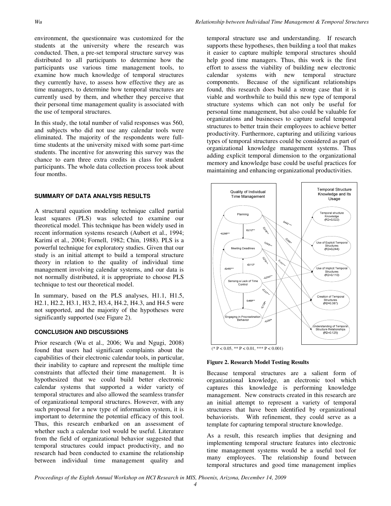environment, the questionnaire was customized for the students at the university where the research was conducted. Then, a pre-set temporal structure survey was distributed to all participants to determine how the participants use various time management tools, to examine how much knowledge of temporal structures they currently have, to assess how effective they are as time managers, to determine how temporal structures are currently used by them, and whether they perceive that their personal time management quality is associated with the use of temporal structures.

In this study, the total number of valid responses was 560, and subjects who did not use any calendar tools were eliminated. The majority of the respondents were fulltime students at the university mixed with some part-time students. The incentive for answering this survey was the chance to earn three extra credits in class for student participants. The whole data collection process took about four months.

## **SUMMARY OF DATA ANALYSIS RESULTS**

A structural equation modeling technique called partial least squares (PLS) was selected to examine our theoretical model. This technique has been widely used in recent information systems research (Aubert et al., 1994; Karimi et al., 2004; Fornell, 1982; Chin, 1988). PLS is a powerful technique for exploratory studies. Given that our study is an initial attempt to build a temporal structure theory in relation to the quality of individual time management involving calendar systems, and our data is not normally distributed, it is appropriate to choose PLS technique to test our theoretical model.

In summary, based on the PLS analyses, H1.1, H1.5, H2.1, H2.2, H3.1, H3.2, H3.4, H4.2, H4.3, and H4.5 were not supported, and the majority of the hypotheses were significantly supported (see Figure 2).

## **CONCLUSION AND DISCUSSIONS**

Prior research (Wu et al., 2006; Wu and Ngugi, 2008) found that users had significant complaints about the capabilities of their electronic calendar tools, in particular, their inability to capture and represent the multiple time constraints that affected their time management. It is hypothesized that we could build better electronic calendar systems that supported a wider variety of temporal structures and also allowed the seamless transfer of organizational temporal structures. However, with any such proposal for a new type of information system, it is important to determine the potential efficacy of this tool. Thus, this research embarked on an assessment of whether such a calendar tool would be useful. Literature from the field of organizational behavior suggested that temporal structures could impact productivity, and no research had been conducted to examine the relationship between individual time management quality and temporal structure use and understanding. If research supports these hypotheses, then building a tool that makes it easier to capture multiple temporal structures should help good time managers. Thus, this work is the first effort to assess the viability of building new electronic calendar systems with new temporal structure components. Because of the significant relationships found, this research does build a strong case that it is viable and worthwhile to build this new type of temporal structure systems which can not only be useful for personal time management, but also could be valuable for organizations and businesses to capture useful temporal structures to better train their employees to achieve better productivity. Furthermore, capturing and utilizing various types of temporal structures could be considered as part of organizational knowledge management systems. Thus adding explicit temporal dimension to the organizational memory and knowledge base could be useful practices for maintaining and enhancing organizational productivities.



## **Figure 2. Research Model Testing Results**

Because temporal structures are a salient form of organizational knowledge, an electronic tool which captures this knowledge is performing knowledge management. New constructs created in this research are an initial attempt to represent a variety of temporal structures that have been identified by organizational behaviorists. With refinement, they could serve as a template for capturing temporal structure knowledge.

As a result, this research implies that designing and implementing temporal structure features into electronic time management systems would be a useful tool for many employees. The relationship found between temporal structures and good time management implies

*Proceedings of the Eighth Annual Workshop on HCI Research in MIS, Phoenix, Arizona, December 14, 2009*